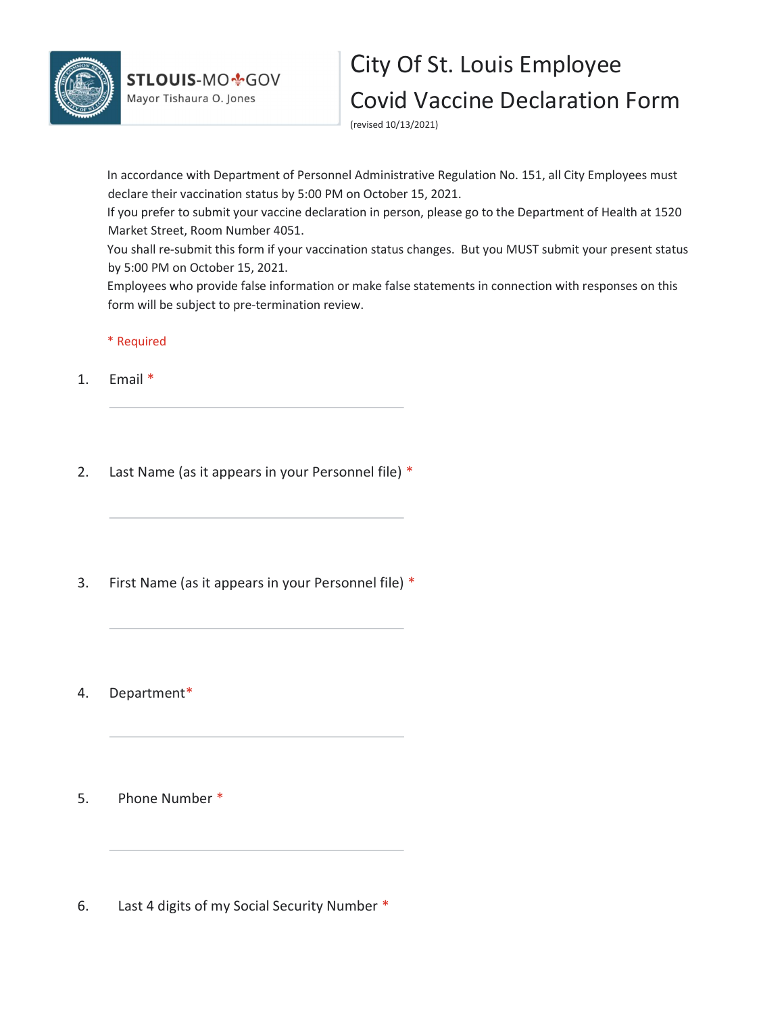

## City Of St. Louis Employee Covid Vaccine Declaration Form

(revised 10/13/2021)

In accordance with Department of Personnel Administrative Regulation No. 151, all City Employees must declare their vaccination status by 5:00 PM on October 15, 2021.

If you prefer to submit your vaccine declaration in person, please go to the Department of Health at 1520 Market Street, Room Number 4051.

You shall re-submit this form if your vaccination status changes. But you MUST submit your present status by 5:00 PM on October 15, 2021.

Employees who provide false information or make false statements in connection with responses on this form will be subject to pre-termination review.

\* Required

1. Email \*

2. Last Name (as it appears in your Personnel file) \*

3. First Name (as it appears in your Personnel file) \*

4. Department\*

5. Phone Number \*

6. Last 4 digits of my Social Security Number \*